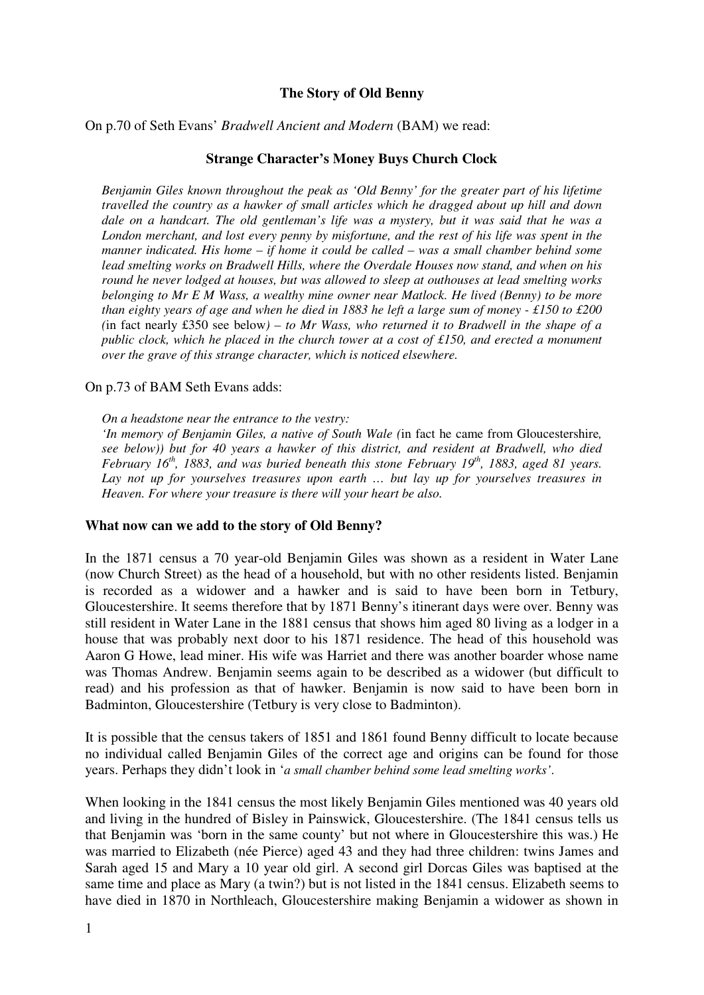# **The Story of Old Benny**

### On p.70 of Seth Evans' *Bradwell Ancient and Modern* (BAM) we read:

## **Strange Character's Money Buys Church Clock**

*Benjamin Giles known throughout the peak as 'Old Benny' for the greater part of his lifetime travelled the country as a hawker of small articles which he dragged about up hill and down dale on a handcart. The old gentleman's life was a mystery, but it was said that he was a London merchant, and lost every penny by misfortune, and the rest of his life was spent in the manner indicated. His home – if home it could be called – was a small chamber behind some lead smelting works on Bradwell Hills, where the Overdale Houses now stand, and when on his round he never lodged at houses, but was allowed to sleep at outhouses at lead smelting works belonging to Mr E M Wass, a wealthy mine owner near Matlock. He lived (Benny) to be more than eighty years of age and when he died in 1883 he left a large sum of money - £150 to £200 (*in fact nearly £350 see below*) – to Mr Wass, who returned it to Bradwell in the shape of a public clock, which he placed in the church tower at a cost of £150, and erected a monument over the grave of this strange character, which is noticed elsewhere.* 

#### On p.73 of BAM Seth Evans adds:

*On a headstone near the entrance to the vestry:* 

*'In memory of Benjamin Giles, a native of South Wale (*in fact he came from Gloucestershire*, see below)) but for 40 years a hawker of this district, and resident at Bradwell, who died February 16th, 1883, and was buried beneath this stone February 19th, 1883, aged 81 years. Lay not up for yourselves treasures upon earth … but lay up for yourselves treasures in Heaven. For where your treasure is there will your heart be also.*

#### **What now can we add to the story of Old Benny?**

In the 1871 census a 70 year-old Benjamin Giles was shown as a resident in Water Lane (now Church Street) as the head of a household, but with no other residents listed. Benjamin is recorded as a widower and a hawker and is said to have been born in Tetbury, Gloucestershire. It seems therefore that by 1871 Benny's itinerant days were over. Benny was still resident in Water Lane in the 1881 census that shows him aged 80 living as a lodger in a house that was probably next door to his 1871 residence. The head of this household was Aaron G Howe, lead miner. His wife was Harriet and there was another boarder whose name was Thomas Andrew. Benjamin seems again to be described as a widower (but difficult to read) and his profession as that of hawker. Benjamin is now said to have been born in Badminton, Gloucestershire (Tetbury is very close to Badminton).

It is possible that the census takers of 1851 and 1861 found Benny difficult to locate because no individual called Benjamin Giles of the correct age and origins can be found for those years. Perhaps they didn't look in '*a small chamber behind some lead smelting works'*.

When looking in the 1841 census the most likely Benjamin Giles mentioned was 40 years old and living in the hundred of Bisley in Painswick, Gloucestershire. (The 1841 census tells us that Benjamin was 'born in the same county' but not where in Gloucestershire this was.) He was married to Elizabeth (née Pierce) aged 43 and they had three children: twins James and Sarah aged 15 and Mary a 10 year old girl. A second girl Dorcas Giles was baptised at the same time and place as Mary (a twin?) but is not listed in the 1841 census. Elizabeth seems to have died in 1870 in Northleach, Gloucestershire making Benjamin a widower as shown in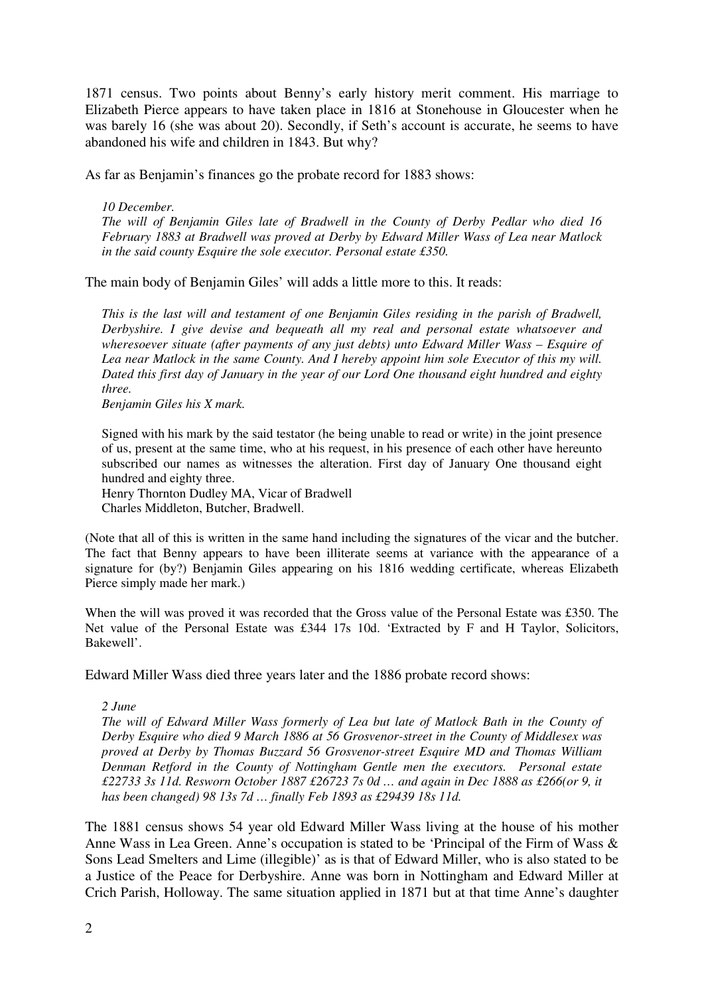1871 census. Two points about Benny's early history merit comment. His marriage to Elizabeth Pierce appears to have taken place in 1816 at Stonehouse in Gloucester when he was barely 16 (she was about 20). Secondly, if Seth's account is accurate, he seems to have abandoned his wife and children in 1843. But why?

As far as Benjamin's finances go the probate record for 1883 shows:

# *10 December.*

*The will of Benjamin Giles late of Bradwell in the County of Derby Pedlar who died 16 February 1883 at Bradwell was proved at Derby by Edward Miller Wass of Lea near Matlock in the said county Esquire the sole executor. Personal estate £350.* 

The main body of Benjamin Giles' will adds a little more to this. It reads:

*This is the last will and testament of one Benjamin Giles residing in the parish of Bradwell, Derbyshire. I give devise and bequeath all my real and personal estate whatsoever and wheresoever situate (after payments of any just debts) unto Edward Miller Wass – Esquire of Lea near Matlock in the same County. And I hereby appoint him sole Executor of this my will. Dated this first day of January in the year of our Lord One thousand eight hundred and eighty three.* 

*Benjamin Giles his X mark.* 

Signed with his mark by the said testator (he being unable to read or write) in the joint presence of us, present at the same time, who at his request, in his presence of each other have hereunto subscribed our names as witnesses the alteration. First day of January One thousand eight hundred and eighty three.

Henry Thornton Dudley MA, Vicar of Bradwell Charles Middleton, Butcher, Bradwell.

(Note that all of this is written in the same hand including the signatures of the vicar and the butcher. The fact that Benny appears to have been illiterate seems at variance with the appearance of a signature for (by?) Benjamin Giles appearing on his 1816 wedding certificate, whereas Elizabeth Pierce simply made her mark.)

When the will was proved it was recorded that the Gross value of the Personal Estate was £350. The Net value of the Personal Estate was £344 17s 10d. 'Extracted by F and H Taylor, Solicitors, Bakewell'.

Edward Miller Wass died three years later and the 1886 probate record shows:

## *2 June*

*The will of Edward Miller Wass formerly of Lea but late of Matlock Bath in the County of Derby Esquire who died 9 March 1886 at 56 Grosvenor-street in the County of Middlesex was proved at Derby by Thomas Buzzard 56 Grosvenor-street Esquire MD and Thomas William Denman Retford in the County of Nottingham Gentle men the executors. Personal estate £22733 3s 11d. Resworn October 1887 £26723 7s 0d … and again in Dec 1888 as £266(or 9, it has been changed) 98 13s 7d … finally Feb 1893 as £29439 18s 11d.* 

The 1881 census shows 54 year old Edward Miller Wass living at the house of his mother Anne Wass in Lea Green. Anne's occupation is stated to be 'Principal of the Firm of Wass & Sons Lead Smelters and Lime (illegible)' as is that of Edward Miller, who is also stated to be a Justice of the Peace for Derbyshire. Anne was born in Nottingham and Edward Miller at Crich Parish, Holloway. The same situation applied in 1871 but at that time Anne's daughter